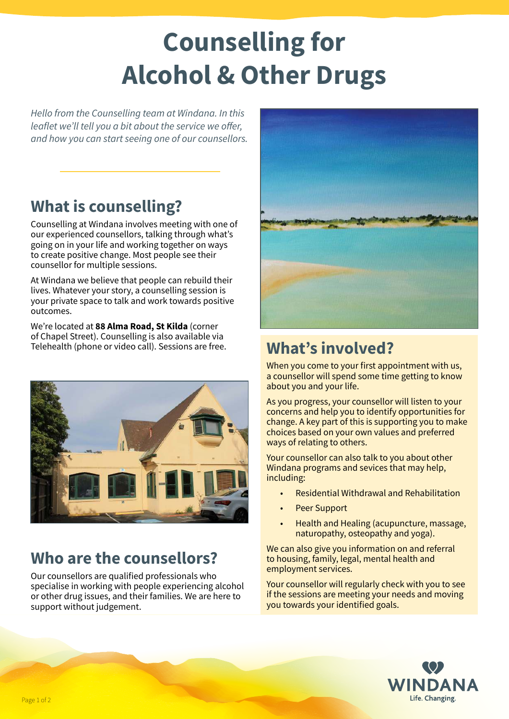# **Counselling for Alcohol & Other Drugs**

*Hello from the Counselling team at Windana. In this leaflet we'll tell you a bit about the service we offer, and how you can start seeing one of our counsellors.*

# **What is counselling?**

Counselling at Windana involves meeting with one of our experienced counsellors, talking through what's going on in your life and working together on ways to create positive change. Most people see their counsellor for multiple sessions.

At Windana we believe that people can rebuild their lives. Whatever your story, a counselling session is your private space to talk and work towards positive outcomes.

We're located at **88 Alma Road, St Kilda** (corner of Chapel Street). Counselling is also available via Telehealth (phone or video call). Sessions are free. **What's involved?** 



### **Who are the counsellors?**

Our counsellors are qualified professionals who specialise in working with people experiencing alcohol or other drug issues, and their families. We are here to support without judgement.



When you come to your first appointment with us, a counsellor will spend some time getting to know about you and your life.

As you progress, your counsellor will listen to your concerns and help you to identify opportunities for change. A key part of this is supporting you to make choices based on your own values and preferred ways of relating to others.

Your counsellor can also talk to you about other Windana programs and sevices that may help, including:

- Residential Withdrawal and Rehabilitation
- Peer Support
- Health and Healing (acupuncture, massage, naturopathy, osteopathy and yoga).

We can also give you information on and referral to housing, family, legal, mental health and employment services.

Your counsellor will regularly check with you to see if the sessions are meeting your needs and moving you towards your identified goals.